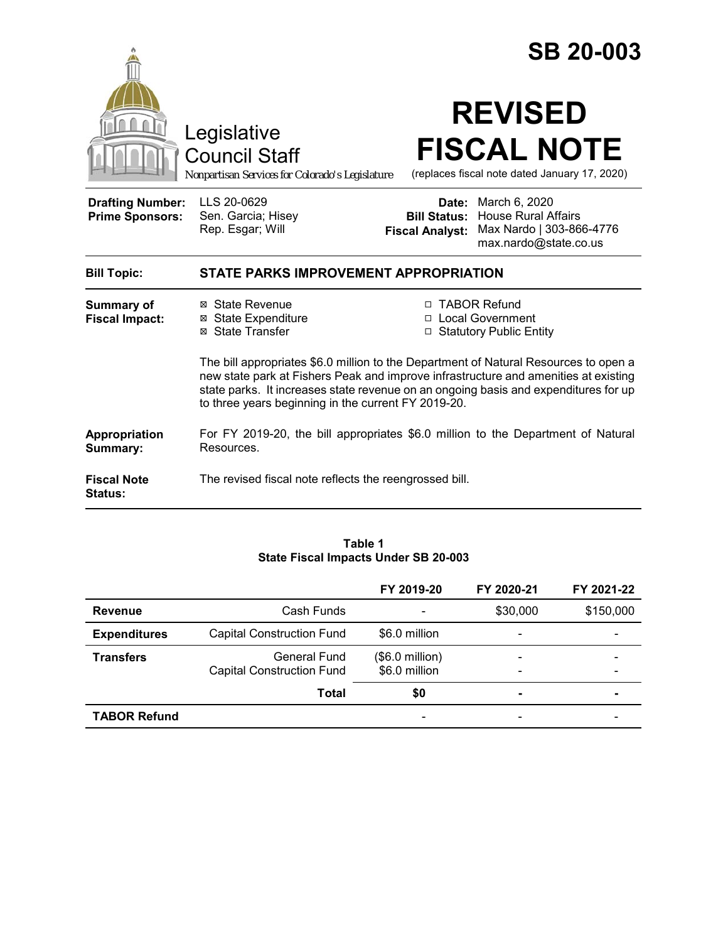|                                                   |                                                                                                                                                                                                                                                                                                                           | <b>SB 20-003</b>                                                  |                                                                                                                            |  |  |
|---------------------------------------------------|---------------------------------------------------------------------------------------------------------------------------------------------------------------------------------------------------------------------------------------------------------------------------------------------------------------------------|-------------------------------------------------------------------|----------------------------------------------------------------------------------------------------------------------------|--|--|
|                                                   | Legislative<br><b>Council Staff</b><br>Nonpartisan Services for Colorado's Legislature                                                                                                                                                                                                                                    |                                                                   | <b>REVISED</b><br><b>FISCAL NOTE</b><br>(replaces fiscal note dated January 17, 2020)                                      |  |  |
| <b>Drafting Number:</b><br><b>Prime Sponsors:</b> | LLS 20-0629<br>Sen. Garcia; Hisey<br>Rep. Esgar; Will                                                                                                                                                                                                                                                                     | <b>Fiscal Analyst:</b>                                            | <b>Date:</b> March 6, 2020<br><b>Bill Status: House Rural Affairs</b><br>Max Nardo   303-866-4776<br>max.nardo@state.co.us |  |  |
| <b>Bill Topic:</b>                                | <b>STATE PARKS IMPROVEMENT APPROPRIATION</b>                                                                                                                                                                                                                                                                              |                                                                   |                                                                                                                            |  |  |
| <b>Summary of</b><br><b>Fiscal Impact:</b>        | ⊠ State Revenue<br><b>⊠</b> State Expenditure<br>⊠ State Transfer                                                                                                                                                                                                                                                         | □ TABOR Refund<br>□ Local Government<br>□ Statutory Public Entity |                                                                                                                            |  |  |
|                                                   | The bill appropriates \$6.0 million to the Department of Natural Resources to open a<br>new state park at Fishers Peak and improve infrastructure and amenities at existing<br>state parks. It increases state revenue on an ongoing basis and expenditures for up<br>to three years beginning in the current FY 2019-20. |                                                                   |                                                                                                                            |  |  |
| Appropriation<br>Summary:                         | For FY 2019-20, the bill appropriates \$6.0 million to the Department of Natural<br>Resources.                                                                                                                                                                                                                            |                                                                   |                                                                                                                            |  |  |
| <b>Fiscal Note</b><br><b>Status:</b>              | The revised fiscal note reflects the reengrossed bill.                                                                                                                                                                                                                                                                    |                                                                   |                                                                                                                            |  |  |

#### **Table 1 State Fiscal Impacts Under SB 20-003**

|                     |                                  | FY 2019-20               | FY 2020-21                   | FY 2021-22 |
|---------------------|----------------------------------|--------------------------|------------------------------|------------|
| <b>Revenue</b>      | Cash Funds                       | $\overline{\phantom{a}}$ | \$30,000                     | \$150,000  |
| <b>Expenditures</b> | <b>Capital Construction Fund</b> | \$6.0 million            | $\overline{\phantom{a}}$     |            |
| <b>Transfers</b>    | General Fund                     | $($.0$ million)          | $\overline{\phantom{a}}$     |            |
|                     | <b>Capital Construction Fund</b> | \$6.0 million            | $\qquad \qquad \blacksquare$ |            |
|                     | <b>Total</b>                     | \$0                      | $\blacksquare$               |            |
| <b>TABOR Refund</b> |                                  |                          |                              |            |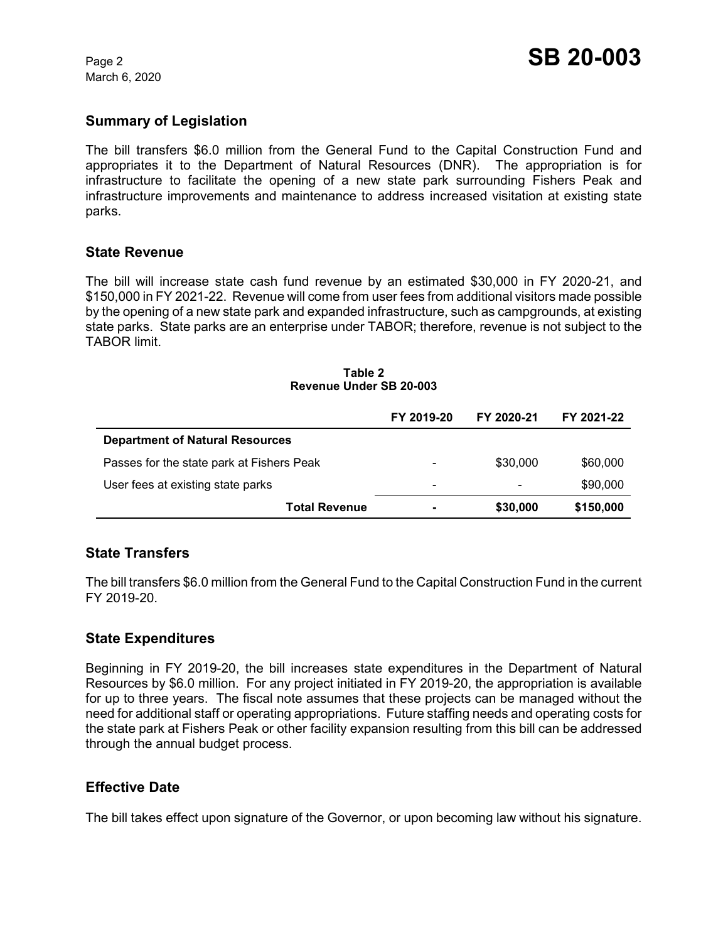March 6, 2020

## **Summary of Legislation**

The bill transfers \$6.0 million from the General Fund to the Capital Construction Fund and appropriates it to the Department of Natural Resources (DNR). The appropriation is for infrastructure to facilitate the opening of a new state park surrounding Fishers Peak and infrastructure improvements and maintenance to address increased visitation at existing state parks.

#### **State Revenue**

The bill will increase state cash fund revenue by an estimated \$30,000 in FY 2020-21, and \$150,000 in FY 2021-22. Revenue will come from user fees from additional visitors made possible by the opening of a new state park and expanded infrastructure, such as campgrounds, at existing state parks. State parks are an enterprise under TABOR; therefore, revenue is not subject to the TABOR limit.

|                                           | FY 2019-20 | FY 2020-21 | FY 2021-22 |
|-------------------------------------------|------------|------------|------------|
| <b>Department of Natural Resources</b>    |            |            |            |
| Passes for the state park at Fishers Peak |            | \$30,000   | \$60,000   |
| User fees at existing state parks         | -          |            | \$90,000   |
| <b>Total Revenue</b>                      | -          | \$30,000   | \$150,000  |

#### **Table 2 Revenue Under SB 20-003**

## **State Transfers**

The bill transfers \$6.0 million from the General Fund to the Capital Construction Fund in the current FY 2019-20.

## **State Expenditures**

Beginning in FY 2019-20, the bill increases state expenditures in the Department of Natural Resources by \$6.0 million. For any project initiated in FY 2019-20, the appropriation is available for up to three years. The fiscal note assumes that these projects can be managed without the need for additional staff or operating appropriations. Future staffing needs and operating costs for the state park at Fishers Peak or other facility expansion resulting from this bill can be addressed through the annual budget process.

## **Effective Date**

The bill takes effect upon signature of the Governor, or upon becoming law without his signature.